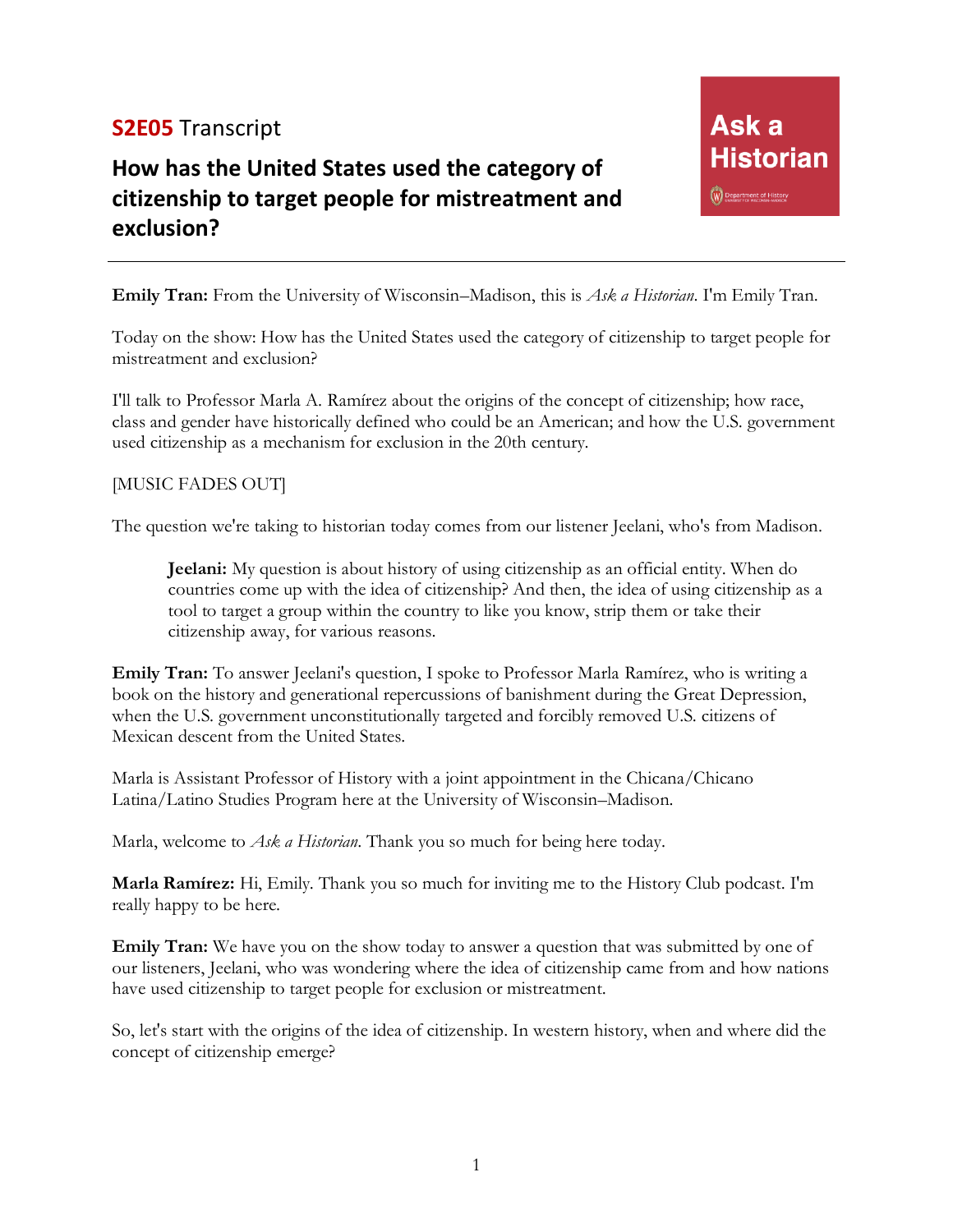## **S2E05** Transcript

# **How has the United States used the category of citizenship to target people for mistreatment and exclusion?**

**Emily Tran:** From the University of Wisconsin–Madison, this is *Ask a Historian*. I'm Emily Tran.

Today on the show: How has the United States used the category of citizenship to target people for mistreatment and exclusion?

I'll talk to Professor Marla A. Ramírez about the origins of the concept of citizenship; how race, class and gender have historically defined who could be an American; and how the U.S. government used citizenship as a mechanism for exclusion in the 20th century.

#### [MUSIC FADES OUT]

The question we're taking to historian today comes from our listener Jeelani, who's from Madison.

**Jeelani:** My question is about history of using citizenship as an official entity. When do countries come up with the idea of citizenship? And then, the idea of using citizenship as a tool to target a group within the country to like you know, strip them or take their citizenship away, for various reasons.

**Emily Tran:** To answer Jeelani's question, I spoke to Professor Marla Ramírez, who is writing a book on the history and generational repercussions of banishment during the Great Depression, when the U.S. government unconstitutionally targeted and forcibly removed U.S. citizens of Mexican descent from the United States.

Marla is Assistant Professor of History with a joint appointment in the Chicana/Chicano Latina/Latino Studies Program here at the University of Wisconsin–Madison.

Marla, welcome to *Ask a Historian*. Thank you so much for being here today.

**Marla Ramírez:** Hi, Emily. Thank you so much for inviting me to the History Club podcast. I'm really happy to be here.

**Emily Tran:** We have you on the show today to answer a question that was submitted by one of our listeners, Jeelani, who was wondering where the idea of citizenship came from and how nations have used citizenship to target people for exclusion or mistreatment.

So, let's start with the origins of the idea of citizenship. In western history, when and where did the concept of citizenship emerge?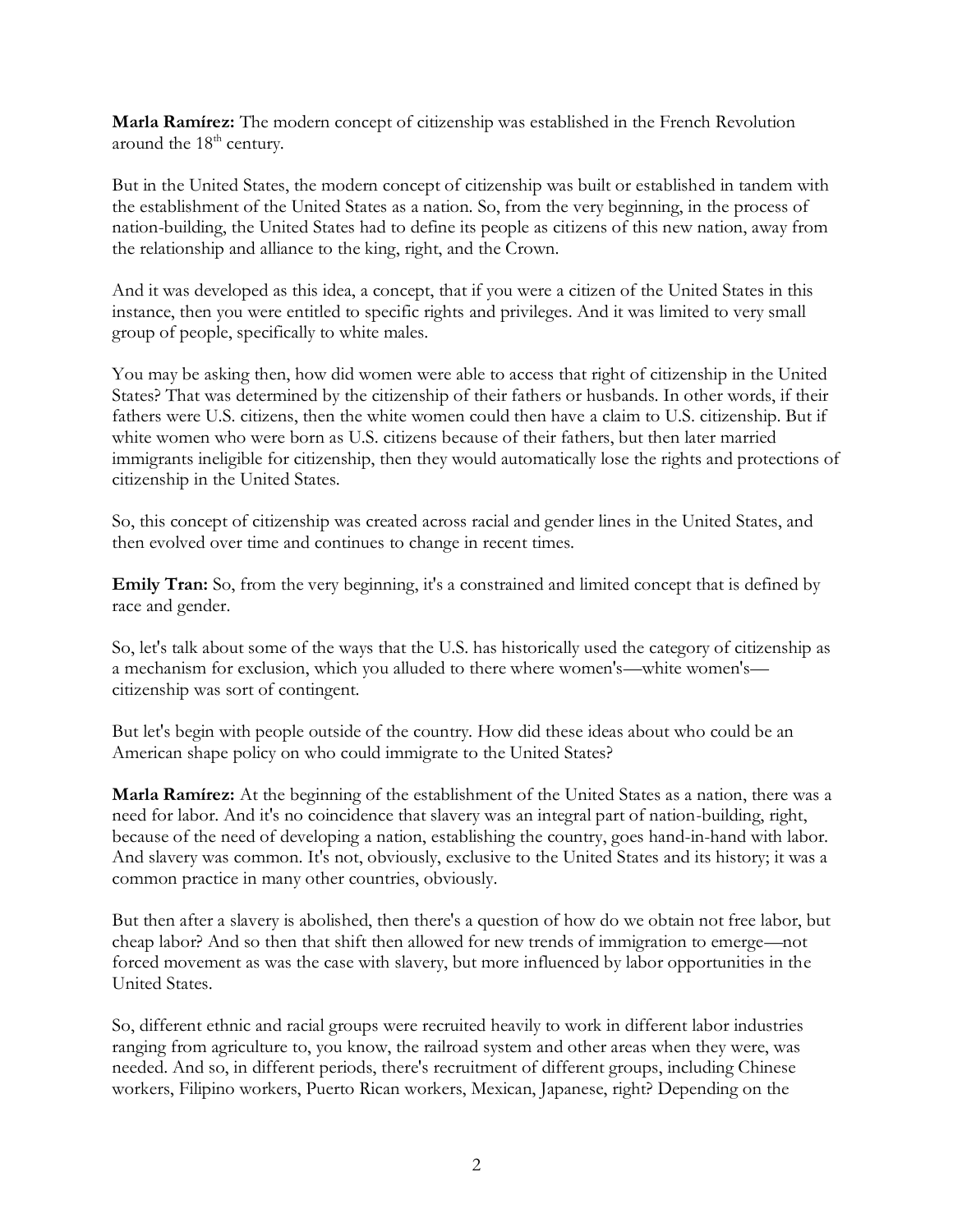**Marla Ramírez:** The modern concept of citizenship was established in the French Revolution around the 18<sup>th</sup> century.

But in the United States, the modern concept of citizenship was built or established in tandem with the establishment of the United States as a nation. So, from the very beginning, in the process of nation-building, the United States had to define its people as citizens of this new nation, away from the relationship and alliance to the king, right, and the Crown.

And it was developed as this idea, a concept, that if you were a citizen of the United States in this instance, then you were entitled to specific rights and privileges. And it was limited to very small group of people, specifically to white males.

You may be asking then, how did women were able to access that right of citizenship in the United States? That was determined by the citizenship of their fathers or husbands. In other words, if their fathers were U.S. citizens, then the white women could then have a claim to U.S. citizenship. But if white women who were born as U.S. citizens because of their fathers, but then later married immigrants ineligible for citizenship, then they would automatically lose the rights and protections of citizenship in the United States.

So, this concept of citizenship was created across racial and gender lines in the United States, and then evolved over time and continues to change in recent times.

**Emily Tran:** So, from the very beginning, it's a constrained and limited concept that is defined by race and gender.

So, let's talk about some of the ways that the U.S. has historically used the category of citizenship as a mechanism for exclusion, which you alluded to there where women's—white women's citizenship was sort of contingent.

But let's begin with people outside of the country. How did these ideas about who could be an American shape policy on who could immigrate to the United States?

**Marla Ramírez:** At the beginning of the establishment of the United States as a nation, there was a need for labor. And it's no coincidence that slavery was an integral part of nation-building, right, because of the need of developing a nation, establishing the country, goes hand-in-hand with labor. And slavery was common. It's not, obviously, exclusive to the United States and its history; it was a common practice in many other countries, obviously.

But then after a slavery is abolished, then there's a question of how do we obtain not free labor, but cheap labor? And so then that shift then allowed for new trends of immigration to emerge—not forced movement as was the case with slavery, but more influenced by labor opportunities in the United States.

So, different ethnic and racial groups were recruited heavily to work in different labor industries ranging from agriculture to, you know, the railroad system and other areas when they were, was needed. And so, in different periods, there's recruitment of different groups, including Chinese workers, Filipino workers, Puerto Rican workers, Mexican, Japanese, right? Depending on the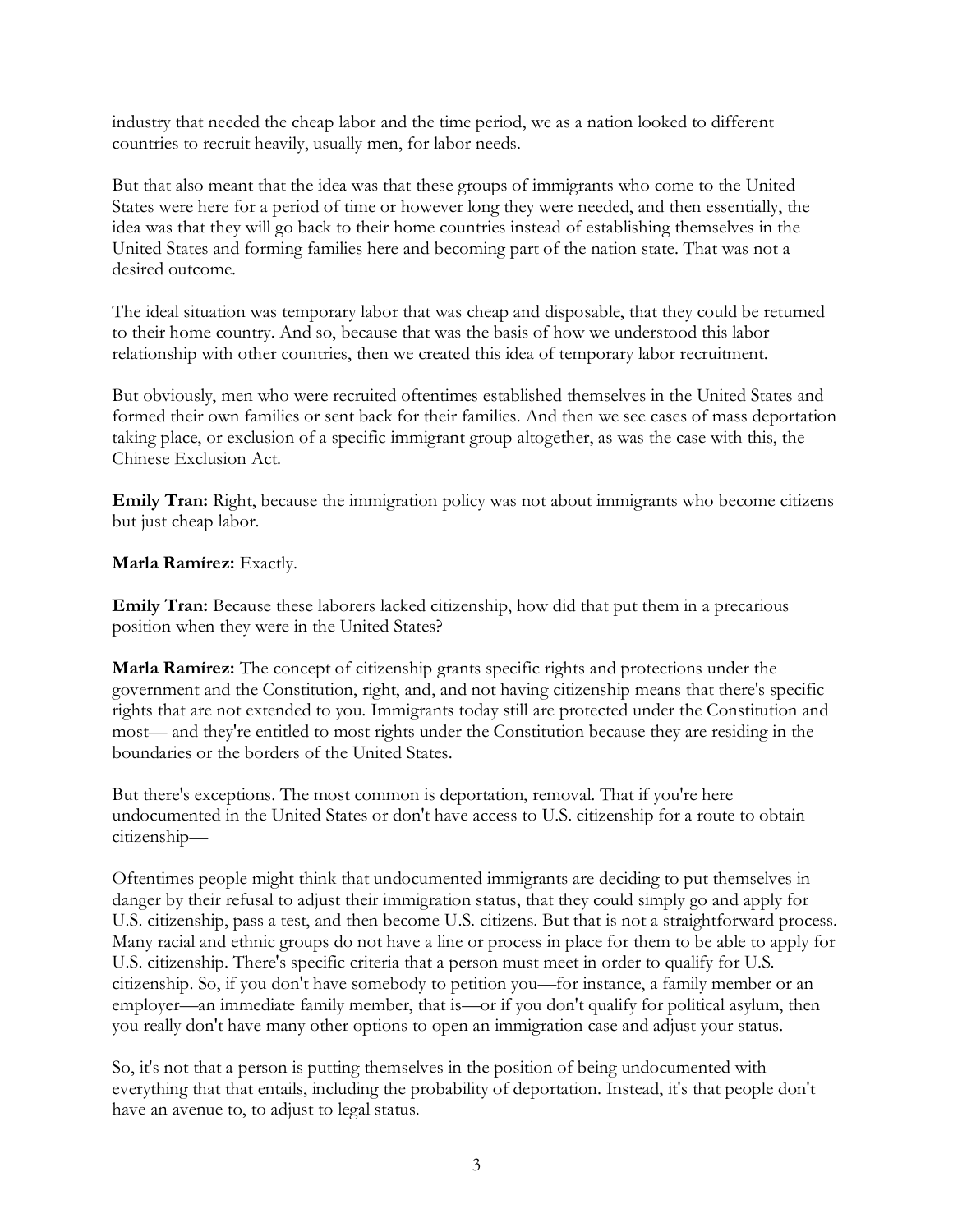industry that needed the cheap labor and the time period, we as a nation looked to different countries to recruit heavily, usually men, for labor needs.

But that also meant that the idea was that these groups of immigrants who come to the United States were here for a period of time or however long they were needed, and then essentially, the idea was that they will go back to their home countries instead of establishing themselves in the United States and forming families here and becoming part of the nation state. That was not a desired outcome.

The ideal situation was temporary labor that was cheap and disposable, that they could be returned to their home country. And so, because that was the basis of how we understood this labor relationship with other countries, then we created this idea of temporary labor recruitment.

But obviously, men who were recruited oftentimes established themselves in the United States and formed their own families or sent back for their families. And then we see cases of mass deportation taking place, or exclusion of a specific immigrant group altogether, as was the case with this, the Chinese Exclusion Act.

**Emily Tran:** Right, because the immigration policy was not about immigrants who become citizens but just cheap labor.

#### **Marla Ramírez:** Exactly.

**Emily Tran:** Because these laborers lacked citizenship, how did that put them in a precarious position when they were in the United States?

**Marla Ramírez:** The concept of citizenship grants specific rights and protections under the government and the Constitution, right, and, and not having citizenship means that there's specific rights that are not extended to you. Immigrants today still are protected under the Constitution and most— and they're entitled to most rights under the Constitution because they are residing in the boundaries or the borders of the United States.

But there's exceptions. The most common is deportation, removal. That if you're here undocumented in the United States or don't have access to U.S. citizenship for a route to obtain citizenship—

Oftentimes people might think that undocumented immigrants are deciding to put themselves in danger by their refusal to adjust their immigration status, that they could simply go and apply for U.S. citizenship, pass a test, and then become U.S. citizens. But that is not a straightforward process. Many racial and ethnic groups do not have a line or process in place for them to be able to apply for U.S. citizenship. There's specific criteria that a person must meet in order to qualify for U.S. citizenship. So, if you don't have somebody to petition you—for instance, a family member or an employer—an immediate family member, that is—or if you don't qualify for political asylum, then you really don't have many other options to open an immigration case and adjust your status.

So, it's not that a person is putting themselves in the position of being undocumented with everything that that entails, including the probability of deportation. Instead, it's that people don't have an avenue to, to adjust to legal status.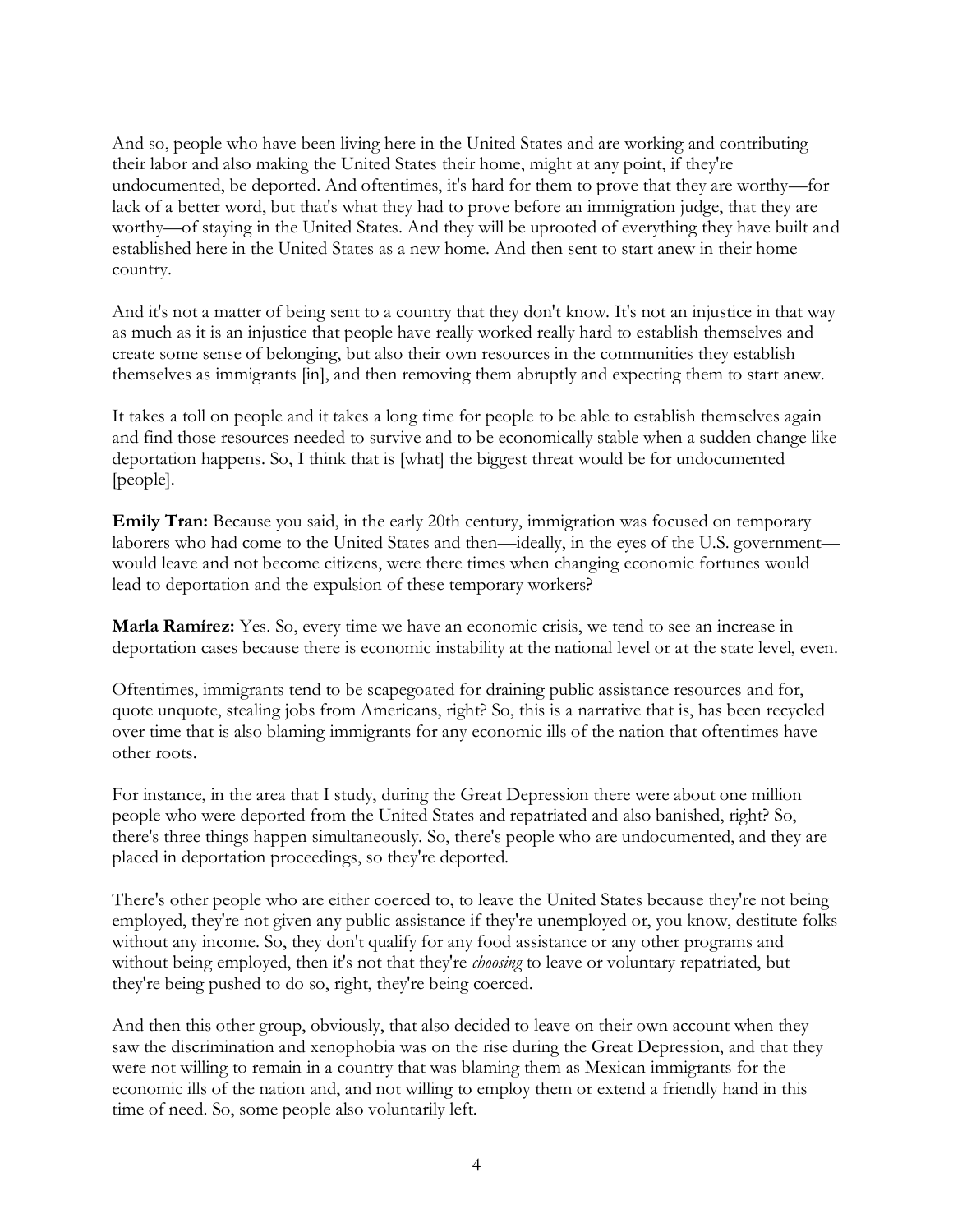And so, people who have been living here in the United States and are working and contributing their labor and also making the United States their home, might at any point, if they're undocumented, be deported. And oftentimes, it's hard for them to prove that they are worthy—for lack of a better word, but that's what they had to prove before an immigration judge, that they are worthy—of staying in the United States. And they will be uprooted of everything they have built and established here in the United States as a new home. And then sent to start anew in their home country.

And it's not a matter of being sent to a country that they don't know. It's not an injustice in that way as much as it is an injustice that people have really worked really hard to establish themselves and create some sense of belonging, but also their own resources in the communities they establish themselves as immigrants [in], and then removing them abruptly and expecting them to start anew.

It takes a toll on people and it takes a long time for people to be able to establish themselves again and find those resources needed to survive and to be economically stable when a sudden change like deportation happens. So, I think that is [what] the biggest threat would be for undocumented [people].

**Emily Tran:** Because you said, in the early 20th century, immigration was focused on temporary laborers who had come to the United States and then—ideally, in the eyes of the U.S. government would leave and not become citizens, were there times when changing economic fortunes would lead to deportation and the expulsion of these temporary workers?

**Marla Ramírez:** Yes. So, every time we have an economic crisis, we tend to see an increase in deportation cases because there is economic instability at the national level or at the state level, even.

Oftentimes, immigrants tend to be scapegoated for draining public assistance resources and for, quote unquote, stealing jobs from Americans, right? So, this is a narrative that is, has been recycled over time that is also blaming immigrants for any economic ills of the nation that oftentimes have other roots.

For instance, in the area that I study, during the Great Depression there were about one million people who were deported from the United States and repatriated and also banished, right? So, there's three things happen simultaneously. So, there's people who are undocumented, and they are placed in deportation proceedings, so they're deported.

There's other people who are either coerced to, to leave the United States because they're not being employed, they're not given any public assistance if they're unemployed or, you know, destitute folks without any income. So, they don't qualify for any food assistance or any other programs and without being employed, then it's not that they're *choosing* to leave or voluntary repatriated, but they're being pushed to do so, right, they're being coerced.

And then this other group, obviously, that also decided to leave on their own account when they saw the discrimination and xenophobia was on the rise during the Great Depression, and that they were not willing to remain in a country that was blaming them as Mexican immigrants for the economic ills of the nation and, and not willing to employ them or extend a friendly hand in this time of need. So, some people also voluntarily left.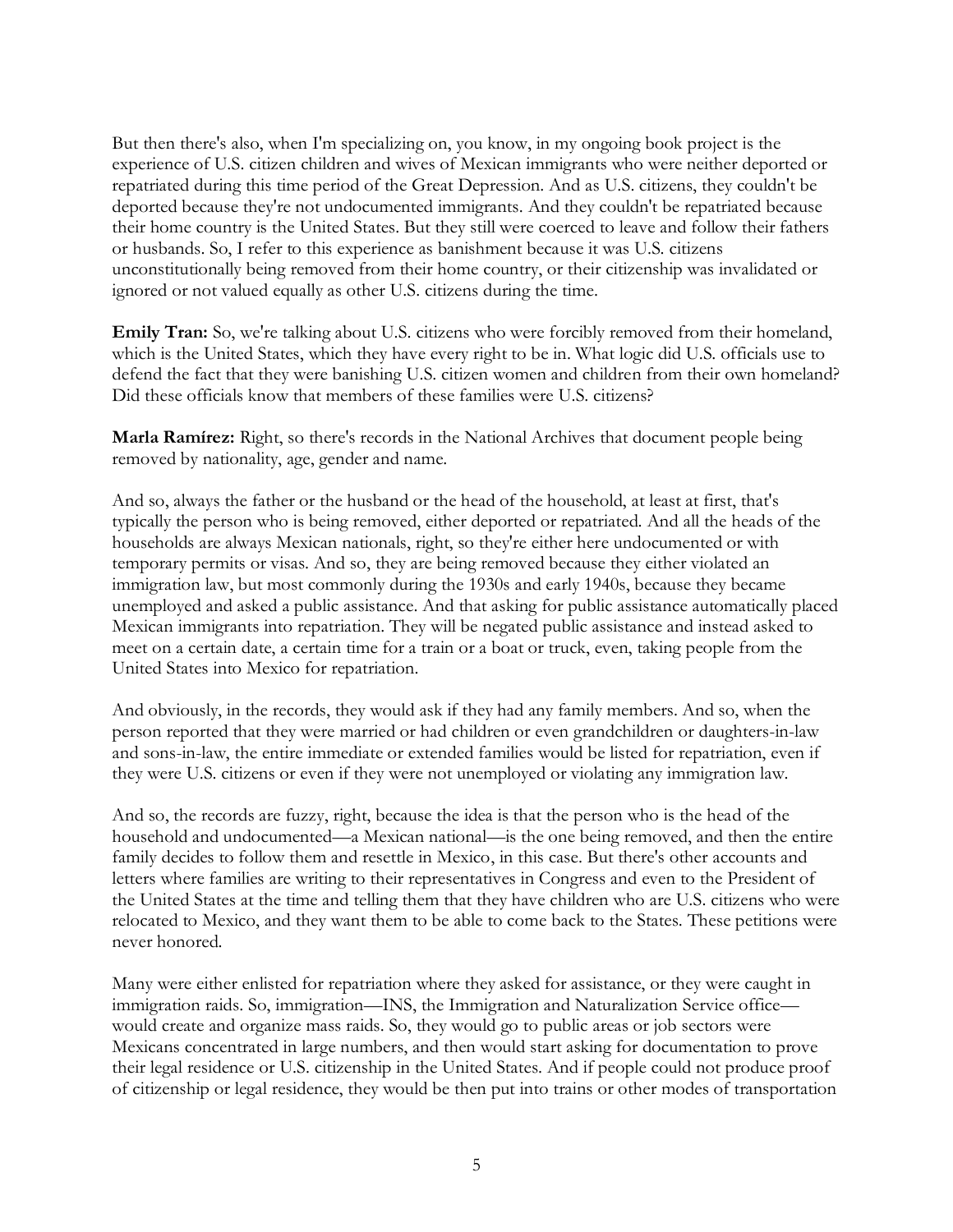But then there's also, when I'm specializing on, you know, in my ongoing book project is the experience of U.S. citizen children and wives of Mexican immigrants who were neither deported or repatriated during this time period of the Great Depression. And as U.S. citizens, they couldn't be deported because they're not undocumented immigrants. And they couldn't be repatriated because their home country is the United States. But they still were coerced to leave and follow their fathers or husbands. So, I refer to this experience as banishment because it was U.S. citizens unconstitutionally being removed from their home country, or their citizenship was invalidated or ignored or not valued equally as other U.S. citizens during the time.

**Emily Tran:** So, we're talking about U.S. citizens who were forcibly removed from their homeland, which is the United States, which they have every right to be in. What logic did U.S. officials use to defend the fact that they were banishing U.S. citizen women and children from their own homeland? Did these officials know that members of these families were U.S. citizens?

**Marla Ramírez:** Right, so there's records in the National Archives that document people being removed by nationality, age, gender and name.

And so, always the father or the husband or the head of the household, at least at first, that's typically the person who is being removed, either deported or repatriated. And all the heads of the households are always Mexican nationals, right, so they're either here undocumented or with temporary permits or visas. And so, they are being removed because they either violated an immigration law, but most commonly during the 1930s and early 1940s, because they became unemployed and asked a public assistance. And that asking for public assistance automatically placed Mexican immigrants into repatriation. They will be negated public assistance and instead asked to meet on a certain date, a certain time for a train or a boat or truck, even, taking people from the United States into Mexico for repatriation.

And obviously, in the records, they would ask if they had any family members. And so, when the person reported that they were married or had children or even grandchildren or daughters-in-law and sons-in-law, the entire immediate or extended families would be listed for repatriation, even if they were U.S. citizens or even if they were not unemployed or violating any immigration law.

And so, the records are fuzzy, right, because the idea is that the person who is the head of the household and undocumented—a Mexican national—is the one being removed, and then the entire family decides to follow them and resettle in Mexico, in this case. But there's other accounts and letters where families are writing to their representatives in Congress and even to the President of the United States at the time and telling them that they have children who are U.S. citizens who were relocated to Mexico, and they want them to be able to come back to the States. These petitions were never honored.

Many were either enlisted for repatriation where they asked for assistance, or they were caught in immigration raids. So, immigration—INS, the Immigration and Naturalization Service office would create and organize mass raids. So, they would go to public areas or job sectors were Mexicans concentrated in large numbers, and then would start asking for documentation to prove their legal residence or U.S. citizenship in the United States. And if people could not produce proof of citizenship or legal residence, they would be then put into trains or other modes of transportation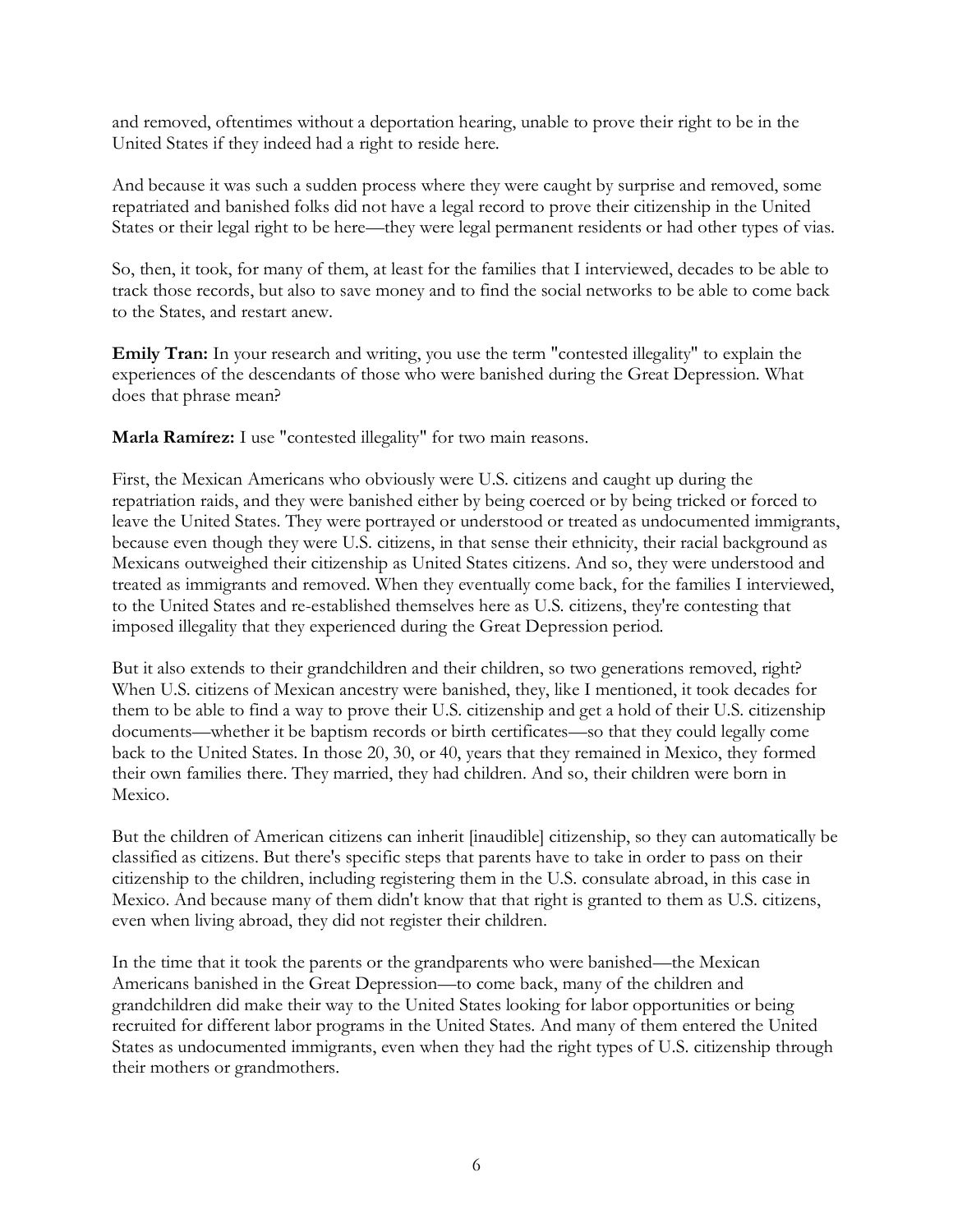and removed, oftentimes without a deportation hearing, unable to prove their right to be in the United States if they indeed had a right to reside here.

And because it was such a sudden process where they were caught by surprise and removed, some repatriated and banished folks did not have a legal record to prove their citizenship in the United States or their legal right to be here—they were legal permanent residents or had other types of vias.

So, then, it took, for many of them, at least for the families that I interviewed, decades to be able to track those records, but also to save money and to find the social networks to be able to come back to the States, and restart anew.

**Emily Tran:** In your research and writing, you use the term "contested illegality" to explain the experiences of the descendants of those who were banished during the Great Depression. What does that phrase mean?

**Marla Ramírez:** I use "contested illegality" for two main reasons.

First, the Mexican Americans who obviously were U.S. citizens and caught up during the repatriation raids, and they were banished either by being coerced or by being tricked or forced to leave the United States. They were portrayed or understood or treated as undocumented immigrants, because even though they were U.S. citizens, in that sense their ethnicity, their racial background as Mexicans outweighed their citizenship as United States citizens. And so, they were understood and treated as immigrants and removed. When they eventually come back, for the families I interviewed, to the United States and re-established themselves here as U.S. citizens, they're contesting that imposed illegality that they experienced during the Great Depression period.

But it also extends to their grandchildren and their children, so two generations removed, right? When U.S. citizens of Mexican ancestry were banished, they, like I mentioned, it took decades for them to be able to find a way to prove their U.S. citizenship and get a hold of their U.S. citizenship documents—whether it be baptism records or birth certificates—so that they could legally come back to the United States. In those 20, 30, or 40, years that they remained in Mexico, they formed their own families there. They married, they had children. And so, their children were born in Mexico.

But the children of American citizens can inherit [inaudible] citizenship, so they can automatically be classified as citizens. But there's specific steps that parents have to take in order to pass on their citizenship to the children, including registering them in the U.S. consulate abroad, in this case in Mexico. And because many of them didn't know that that right is granted to them as U.S. citizens, even when living abroad, they did not register their children.

In the time that it took the parents or the grandparents who were banished—the Mexican Americans banished in the Great Depression—to come back, many of the children and grandchildren did make their way to the United States looking for labor opportunities or being recruited for different labor programs in the United States. And many of them entered the United States as undocumented immigrants, even when they had the right types of U.S. citizenship through their mothers or grandmothers.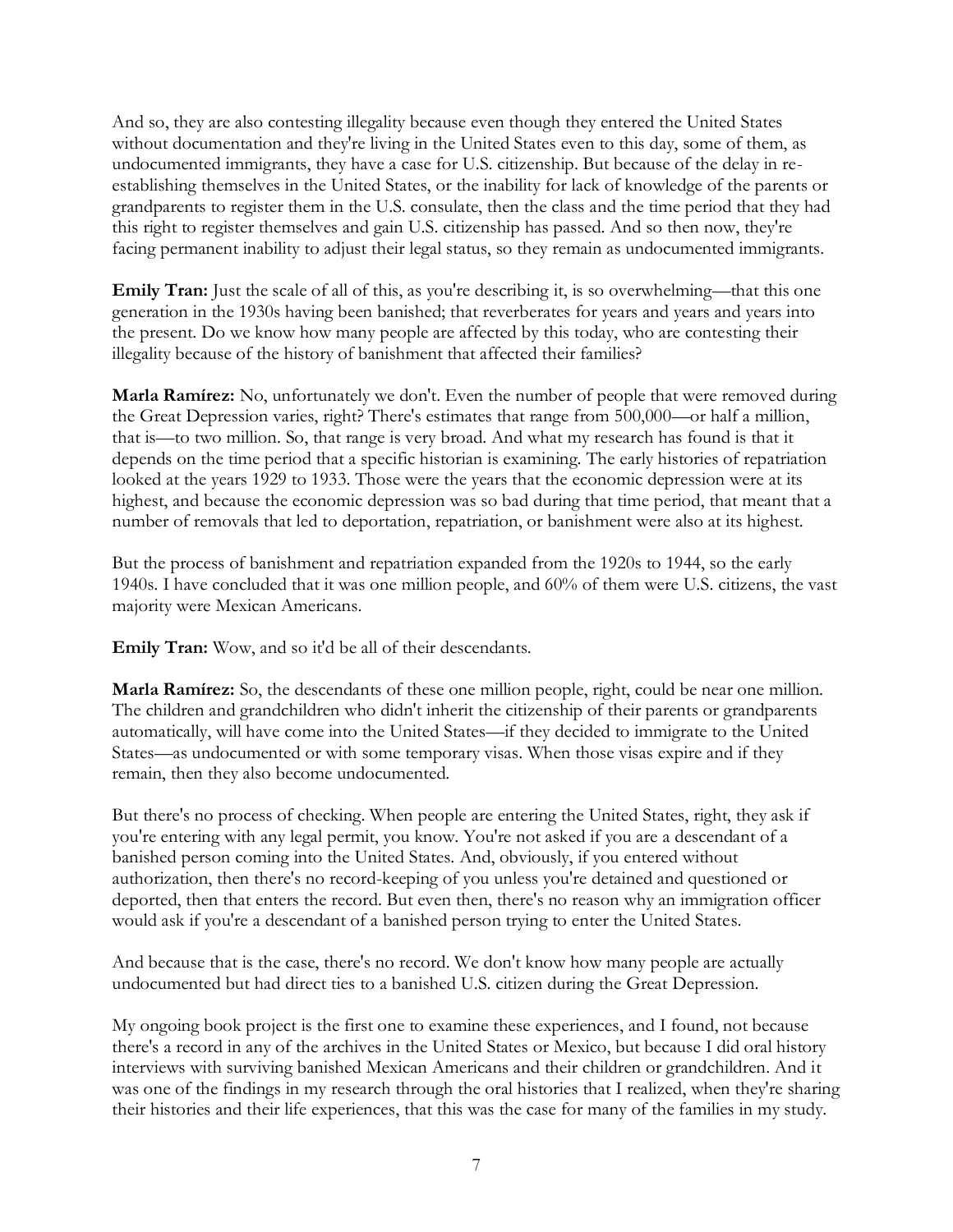And so, they are also contesting illegality because even though they entered the United States without documentation and they're living in the United States even to this day, some of them, as undocumented immigrants, they have a case for U.S. citizenship. But because of the delay in reestablishing themselves in the United States, or the inability for lack of knowledge of the parents or grandparents to register them in the U.S. consulate, then the class and the time period that they had this right to register themselves and gain U.S. citizenship has passed. And so then now, they're facing permanent inability to adjust their legal status, so they remain as undocumented immigrants.

**Emily Tran:** Just the scale of all of this, as you're describing it, is so overwhelming—that this one generation in the 1930s having been banished; that reverberates for years and years and years into the present. Do we know how many people are affected by this today, who are contesting their illegality because of the history of banishment that affected their families?

**Marla Ramírez:** No, unfortunately we don't. Even the number of people that were removed during the Great Depression varies, right? There's estimates that range from 500,000—or half a million, that is—to two million. So, that range is very broad. And what my research has found is that it depends on the time period that a specific historian is examining. The early histories of repatriation looked at the years 1929 to 1933. Those were the years that the economic depression were at its highest, and because the economic depression was so bad during that time period, that meant that a number of removals that led to deportation, repatriation, or banishment were also at its highest.

But the process of banishment and repatriation expanded from the 1920s to 1944, so the early 1940s. I have concluded that it was one million people, and 60% of them were U.S. citizens, the vast majority were Mexican Americans.

**Emily Tran:** Wow, and so it'd be all of their descendants.

**Marla Ramírez:** So, the descendants of these one million people, right, could be near one million. The children and grandchildren who didn't inherit the citizenship of their parents or grandparents automatically, will have come into the United States—if they decided to immigrate to the United States—as undocumented or with some temporary visas. When those visas expire and if they remain, then they also become undocumented.

But there's no process of checking. When people are entering the United States, right, they ask if you're entering with any legal permit, you know. You're not asked if you are a descendant of a banished person coming into the United States. And, obviously, if you entered without authorization, then there's no record-keeping of you unless you're detained and questioned or deported, then that enters the record. But even then, there's no reason why an immigration officer would ask if you're a descendant of a banished person trying to enter the United States.

And because that is the case, there's no record. We don't know how many people are actually undocumented but had direct ties to a banished U.S. citizen during the Great Depression.

My ongoing book project is the first one to examine these experiences, and I found, not because there's a record in any of the archives in the United States or Mexico, but because I did oral history interviews with surviving banished Mexican Americans and their children or grandchildren. And it was one of the findings in my research through the oral histories that I realized, when they're sharing their histories and their life experiences, that this was the case for many of the families in my study.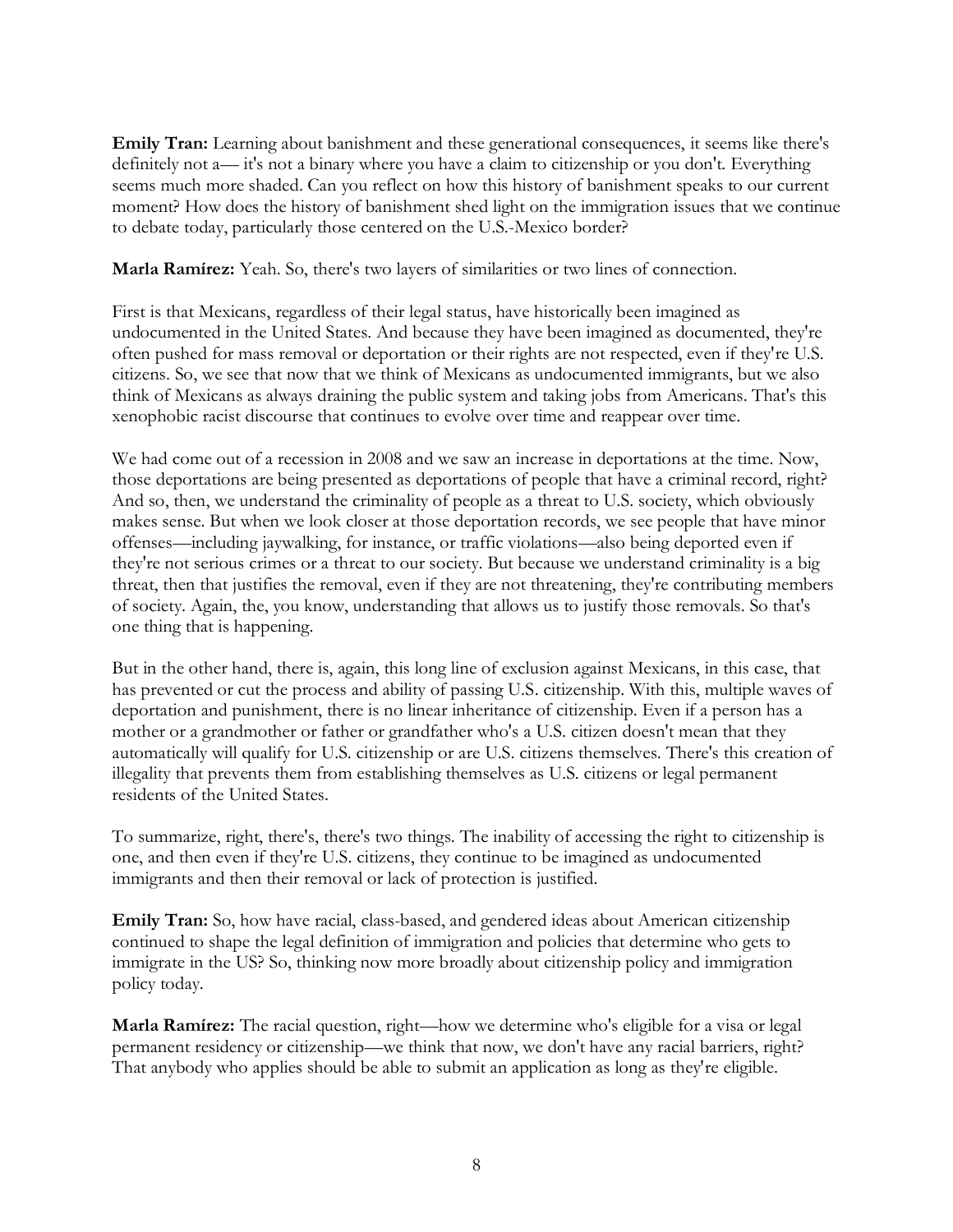**Emily Tran:** Learning about banishment and these generational consequences, it seems like there's definitely not a— it's not a binary where you have a claim to citizenship or you don't. Everything seems much more shaded. Can you reflect on how this history of banishment speaks to our current moment? How does the history of banishment shed light on the immigration issues that we continue to debate today, particularly those centered on the U.S.-Mexico border?

**Marla Ramírez:** Yeah. So, there's two layers of similarities or two lines of connection.

First is that Mexicans, regardless of their legal status, have historically been imagined as undocumented in the United States. And because they have been imagined as documented, they're often pushed for mass removal or deportation or their rights are not respected, even if they're U.S. citizens. So, we see that now that we think of Mexicans as undocumented immigrants, but we also think of Mexicans as always draining the public system and taking jobs from Americans. That's this xenophobic racist discourse that continues to evolve over time and reappear over time.

We had come out of a recession in 2008 and we saw an increase in deportations at the time. Now, those deportations are being presented as deportations of people that have a criminal record, right? And so, then, we understand the criminality of people as a threat to U.S. society, which obviously makes sense. But when we look closer at those deportation records, we see people that have minor offenses—including jaywalking, for instance, or traffic violations—also being deported even if they're not serious crimes or a threat to our society. But because we understand criminality is a big threat, then that justifies the removal, even if they are not threatening, they're contributing members of society. Again, the, you know, understanding that allows us to justify those removals. So that's one thing that is happening.

But in the other hand, there is, again, this long line of exclusion against Mexicans, in this case, that has prevented or cut the process and ability of passing U.S. citizenship. With this, multiple waves of deportation and punishment, there is no linear inheritance of citizenship. Even if a person has a mother or a grandmother or father or grandfather who's a U.S. citizen doesn't mean that they automatically will qualify for U.S. citizenship or are U.S. citizens themselves. There's this creation of illegality that prevents them from establishing themselves as U.S. citizens or legal permanent residents of the United States.

To summarize, right, there's, there's two things. The inability of accessing the right to citizenship is one, and then even if they're U.S. citizens, they continue to be imagined as undocumented immigrants and then their removal or lack of protection is justified.

**Emily Tran:** So, how have racial, class-based, and gendered ideas about American citizenship continued to shape the legal definition of immigration and policies that determine who gets to immigrate in the US? So, thinking now more broadly about citizenship policy and immigration policy today.

**Marla Ramírez:** The racial question, right—how we determine who's eligible for a visa or legal permanent residency or citizenship—we think that now, we don't have any racial barriers, right? That anybody who applies should be able to submit an application as long as they're eligible.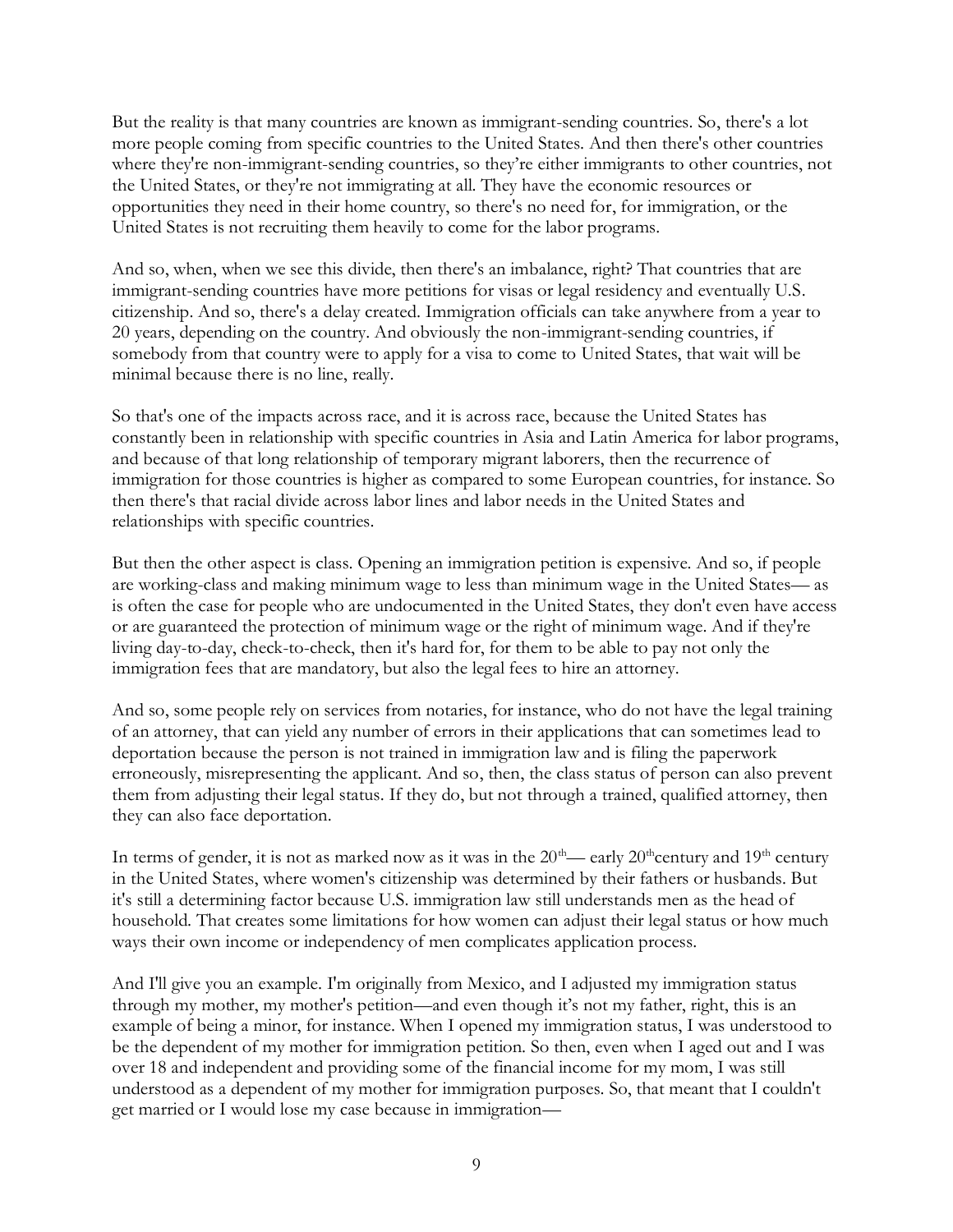But the reality is that many countries are known as immigrant-sending countries. So, there's a lot more people coming from specific countries to the United States. And then there's other countries where they're non-immigrant-sending countries, so they're either immigrants to other countries, not the United States, or they're not immigrating at all. They have the economic resources or opportunities they need in their home country, so there's no need for, for immigration, or the United States is not recruiting them heavily to come for the labor programs.

And so, when, when we see this divide, then there's an imbalance, right? That countries that are immigrant-sending countries have more petitions for visas or legal residency and eventually U.S. citizenship. And so, there's a delay created. Immigration officials can take anywhere from a year to 20 years, depending on the country. And obviously the non-immigrant-sending countries, if somebody from that country were to apply for a visa to come to United States, that wait will be minimal because there is no line, really.

So that's one of the impacts across race, and it is across race, because the United States has constantly been in relationship with specific countries in Asia and Latin America for labor programs, and because of that long relationship of temporary migrant laborers, then the recurrence of immigration for those countries is higher as compared to some European countries, for instance. So then there's that racial divide across labor lines and labor needs in the United States and relationships with specific countries.

But then the other aspect is class. Opening an immigration petition is expensive. And so, if people are working-class and making minimum wage to less than minimum wage in the United States— as is often the case for people who are undocumented in the United States, they don't even have access or are guaranteed the protection of minimum wage or the right of minimum wage. And if they're living day-to-day, check-to-check, then it's hard for, for them to be able to pay not only the immigration fees that are mandatory, but also the legal fees to hire an attorney.

And so, some people rely on services from notaries, for instance, who do not have the legal training of an attorney, that can yield any number of errors in their applications that can sometimes lead to deportation because the person is not trained in immigration law and is filing the paperwork erroneously, misrepresenting the applicant. And so, then, the class status of person can also prevent them from adjusting their legal status. If they do, but not through a trained, qualified attorney, then they can also face deportation.

In terms of gender, it is not as marked now as it was in the 20<sup>th</sup>— early 20<sup>th</sup>century and 19<sup>th</sup> century in the United States, where women's citizenship was determined by their fathers or husbands. But it's still a determining factor because U.S. immigration law still understands men as the head of household. That creates some limitations for how women can adjust their legal status or how much ways their own income or independency of men complicates application process.

And I'll give you an example. I'm originally from Mexico, and I adjusted my immigration status through my mother, my mother's petition—and even though it's not my father, right, this is an example of being a minor, for instance. When I opened my immigration status, I was understood to be the dependent of my mother for immigration petition. So then, even when I aged out and I was over 18 and independent and providing some of the financial income for my mom, I was still understood as a dependent of my mother for immigration purposes. So, that meant that I couldn't get married or I would lose my case because in immigration—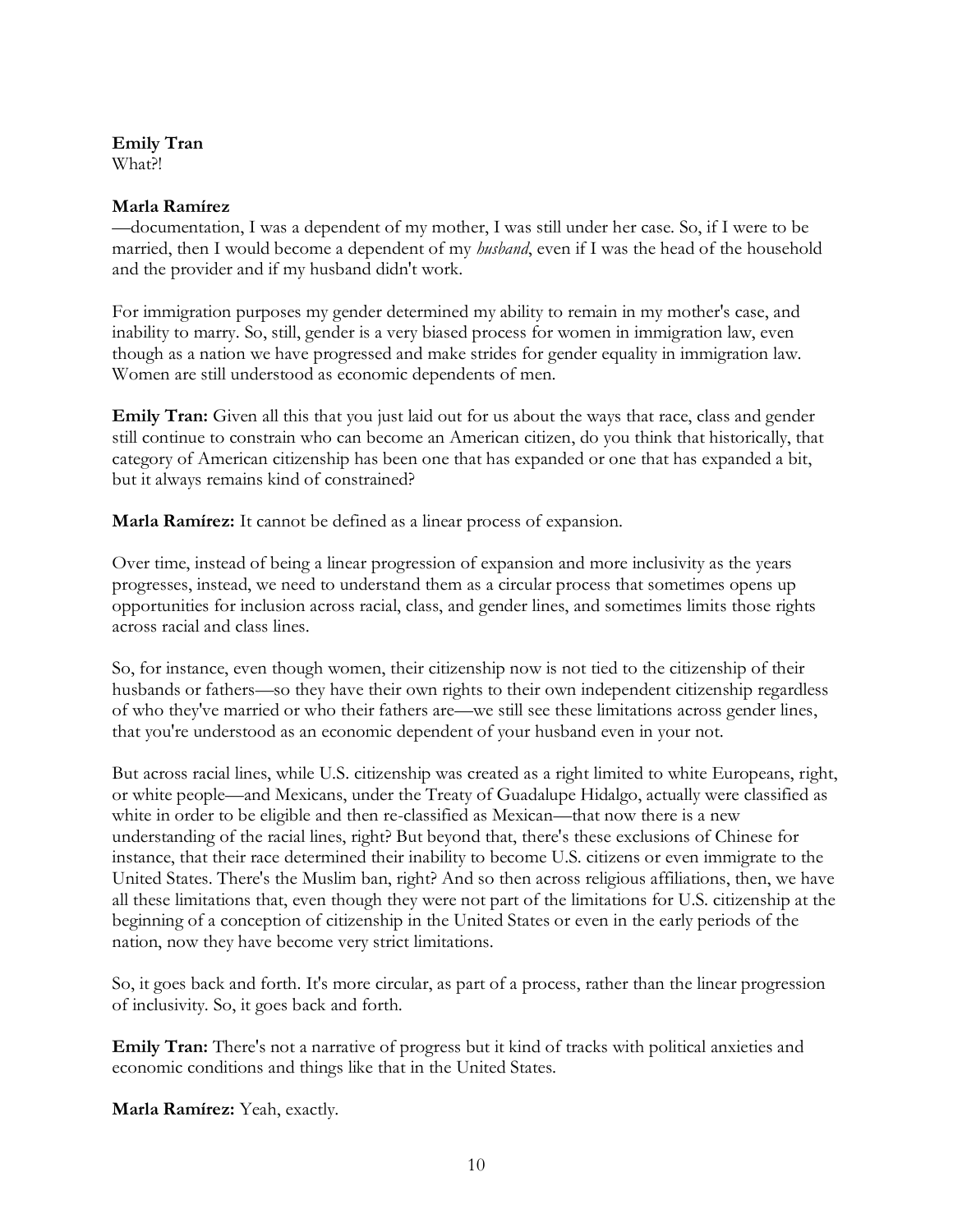### **Emily Tran**

What?!

#### **Marla Ramírez**

—documentation, I was a dependent of my mother, I was still under her case. So, if I were to be married, then I would become a dependent of my *husband*, even if I was the head of the household and the provider and if my husband didn't work.

For immigration purposes my gender determined my ability to remain in my mother's case, and inability to marry. So, still, gender is a very biased process for women in immigration law, even though as a nation we have progressed and make strides for gender equality in immigration law. Women are still understood as economic dependents of men.

**Emily Tran:** Given all this that you just laid out for us about the ways that race, class and gender still continue to constrain who can become an American citizen, do you think that historically, that category of American citizenship has been one that has expanded or one that has expanded a bit, but it always remains kind of constrained?

**Marla Ramírez:** It cannot be defined as a linear process of expansion.

Over time, instead of being a linear progression of expansion and more inclusivity as the years progresses, instead, we need to understand them as a circular process that sometimes opens up opportunities for inclusion across racial, class, and gender lines, and sometimes limits those rights across racial and class lines.

So, for instance, even though women, their citizenship now is not tied to the citizenship of their husbands or fathers—so they have their own rights to their own independent citizenship regardless of who they've married or who their fathers are—we still see these limitations across gender lines, that you're understood as an economic dependent of your husband even in your not.

But across racial lines, while U.S. citizenship was created as a right limited to white Europeans, right, or white people—and Mexicans, under the Treaty of Guadalupe Hidalgo, actually were classified as white in order to be eligible and then re-classified as Mexican—that now there is a new understanding of the racial lines, right? But beyond that, there's these exclusions of Chinese for instance, that their race determined their inability to become U.S. citizens or even immigrate to the United States. There's the Muslim ban, right? And so then across religious affiliations, then, we have all these limitations that, even though they were not part of the limitations for U.S. citizenship at the beginning of a conception of citizenship in the United States or even in the early periods of the nation, now they have become very strict limitations.

So, it goes back and forth. It's more circular, as part of a process, rather than the linear progression of inclusivity. So, it goes back and forth.

**Emily Tran:** There's not a narrative of progress but it kind of tracks with political anxieties and economic conditions and things like that in the United States.

**Marla Ramírez:** Yeah, exactly.